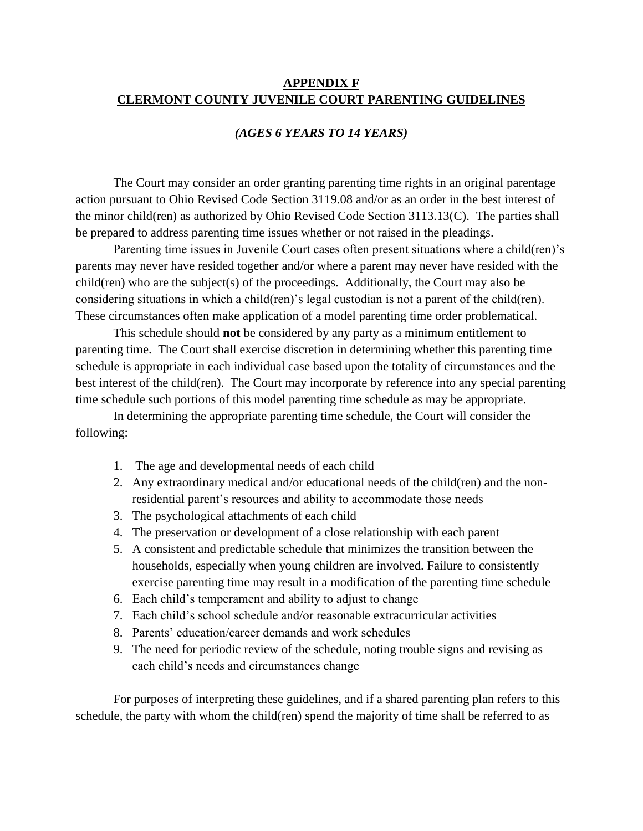# **APPENDIX F CLERMONT COUNTY JUVENILE COURT PARENTING GUIDELINES**

### *(AGES 6 YEARS TO 14 YEARS)*

The Court may consider an order granting parenting time rights in an original parentage action pursuant to Ohio Revised Code Section 3119.08 and/or as an order in the best interest of the minor child(ren) as authorized by Ohio Revised Code Section 3113.13(C). The parties shall be prepared to address parenting time issues whether or not raised in the pleadings.

Parenting time issues in Juvenile Court cases often present situations where a child(ren)'s parents may never have resided together and/or where a parent may never have resided with the child(ren) who are the subject(s) of the proceedings. Additionally, the Court may also be considering situations in which a child(ren)'s legal custodian is not a parent of the child(ren). These circumstances often make application of a model parenting time order problematical.

This schedule should **not** be considered by any party as a minimum entitlement to parenting time. The Court shall exercise discretion in determining whether this parenting time schedule is appropriate in each individual case based upon the totality of circumstances and the best interest of the child(ren). The Court may incorporate by reference into any special parenting time schedule such portions of this model parenting time schedule as may be appropriate.

In determining the appropriate parenting time schedule, the Court will consider the following:

- 1. The age and developmental needs of each child
- 2. Any extraordinary medical and/or educational needs of the child(ren) and the nonresidential parent's resources and ability to accommodate those needs
- 3. The psychological attachments of each child
- 4. The preservation or development of a close relationship with each parent
- 5. A consistent and predictable schedule that minimizes the transition between the households, especially when young children are involved. Failure to consistently exercise parenting time may result in a modification of the parenting time schedule
- 6. Each child's temperament and ability to adjust to change
- 7. Each child's school schedule and/or reasonable extracurricular activities
- 8. Parents' education/career demands and work schedules
- 9. The need for periodic review of the schedule, noting trouble signs and revising as each child's needs and circumstances change

For purposes of interpreting these guidelines, and if a shared parenting plan refers to this schedule, the party with whom the child(ren) spend the majority of time shall be referred to as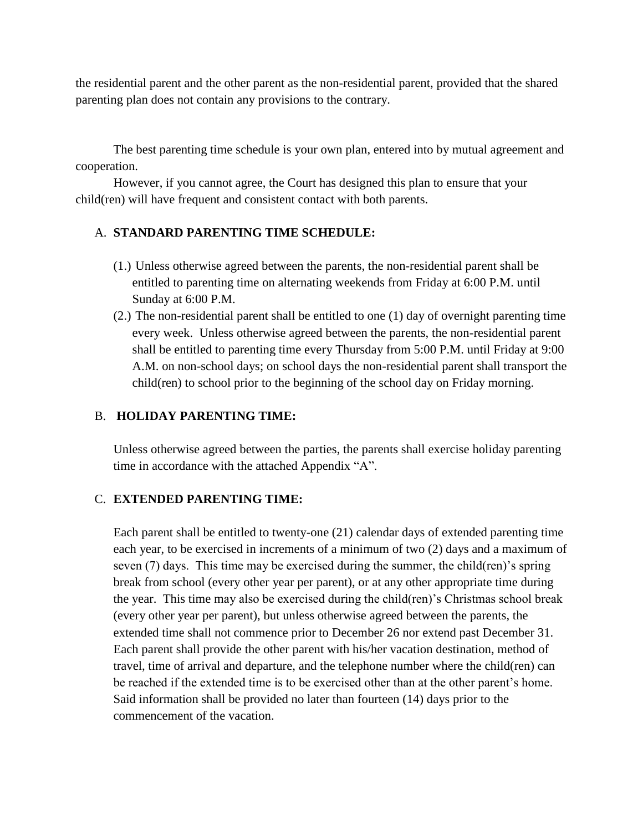the residential parent and the other parent as the non-residential parent, provided that the shared parenting plan does not contain any provisions to the contrary.

The best parenting time schedule is your own plan, entered into by mutual agreement and cooperation.

However, if you cannot agree, the Court has designed this plan to ensure that your child(ren) will have frequent and consistent contact with both parents.

### A. **STANDARD PARENTING TIME SCHEDULE:**

- (1.) Unless otherwise agreed between the parents, the non-residential parent shall be entitled to parenting time on alternating weekends from Friday at 6:00 P.M. until Sunday at 6:00 P.M.
- (2.) The non-residential parent shall be entitled to one (1) day of overnight parenting time every week. Unless otherwise agreed between the parents, the non-residential parent shall be entitled to parenting time every Thursday from 5:00 P.M. until Friday at 9:00 A.M. on non-school days; on school days the non-residential parent shall transport the child(ren) to school prior to the beginning of the school day on Friday morning.

# B. **HOLIDAY PARENTING TIME:**

Unless otherwise agreed between the parties, the parents shall exercise holiday parenting time in accordance with the attached Appendix "A".

### C. **EXTENDED PARENTING TIME:**

Each parent shall be entitled to twenty-one (21) calendar days of extended parenting time each year, to be exercised in increments of a minimum of two (2) days and a maximum of seven (7) days. This time may be exercised during the summer, the child(ren)'s spring break from school (every other year per parent), or at any other appropriate time during the year. This time may also be exercised during the child(ren)'s Christmas school break (every other year per parent), but unless otherwise agreed between the parents, the extended time shall not commence prior to December 26 nor extend past December 31. Each parent shall provide the other parent with his/her vacation destination, method of travel, time of arrival and departure, and the telephone number where the child(ren) can be reached if the extended time is to be exercised other than at the other parent's home. Said information shall be provided no later than fourteen (14) days prior to the commencement of the vacation.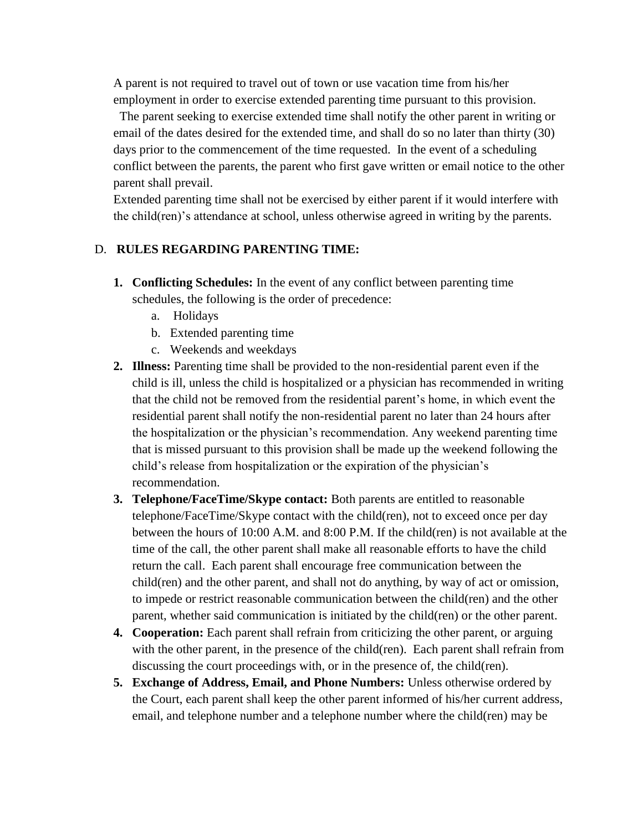A parent is not required to travel out of town or use vacation time from his/her employment in order to exercise extended parenting time pursuant to this provision.

 The parent seeking to exercise extended time shall notify the other parent in writing or email of the dates desired for the extended time, and shall do so no later than thirty (30) days prior to the commencement of the time requested. In the event of a scheduling conflict between the parents, the parent who first gave written or email notice to the other parent shall prevail.

Extended parenting time shall not be exercised by either parent if it would interfere with the child(ren)'s attendance at school, unless otherwise agreed in writing by the parents.

# D. **RULES REGARDING PARENTING TIME:**

- **1. Conflicting Schedules:** In the event of any conflict between parenting time schedules, the following is the order of precedence:
	- a. Holidays
	- b. Extended parenting time
	- c. Weekends and weekdays
- **2. Illness:** Parenting time shall be provided to the non-residential parent even if the child is ill, unless the child is hospitalized or a physician has recommended in writing that the child not be removed from the residential parent's home, in which event the residential parent shall notify the non-residential parent no later than 24 hours after the hospitalization or the physician's recommendation. Any weekend parenting time that is missed pursuant to this provision shall be made up the weekend following the child's release from hospitalization or the expiration of the physician's recommendation.
- **3. Telephone/FaceTime/Skype contact:** Both parents are entitled to reasonable telephone/FaceTime/Skype contact with the child(ren), not to exceed once per day between the hours of 10:00 A.M. and 8:00 P.M. If the child(ren) is not available at the time of the call, the other parent shall make all reasonable efforts to have the child return the call. Each parent shall encourage free communication between the child(ren) and the other parent, and shall not do anything, by way of act or omission, to impede or restrict reasonable communication between the child(ren) and the other parent, whether said communication is initiated by the child(ren) or the other parent.
- **4. Cooperation:** Each parent shall refrain from criticizing the other parent, or arguing with the other parent, in the presence of the child(ren). Each parent shall refrain from discussing the court proceedings with, or in the presence of, the child(ren).
- **5. Exchange of Address, Email, and Phone Numbers:** Unless otherwise ordered by the Court, each parent shall keep the other parent informed of his/her current address, email, and telephone number and a telephone number where the child(ren) may be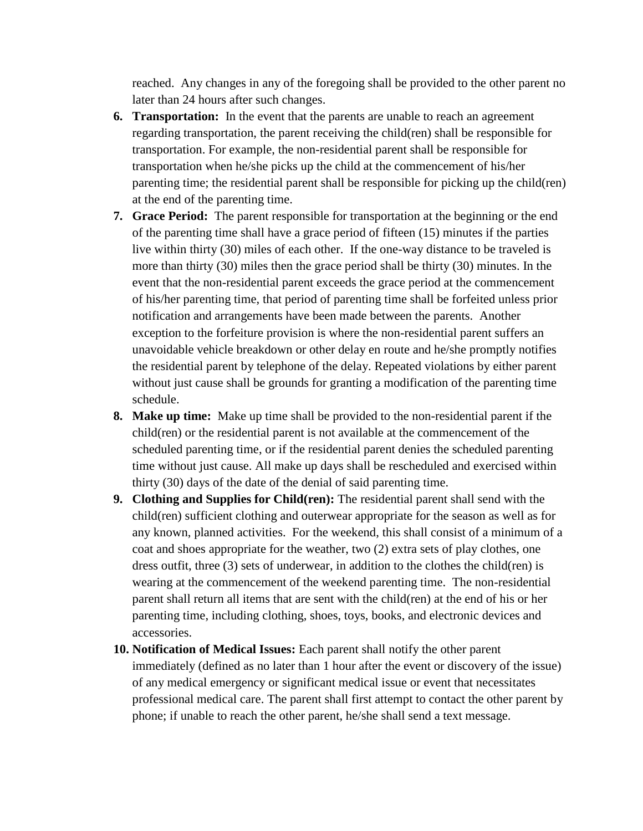reached. Any changes in any of the foregoing shall be provided to the other parent no later than 24 hours after such changes.

- **6. Transportation:** In the event that the parents are unable to reach an agreement regarding transportation, the parent receiving the child(ren) shall be responsible for transportation. For example, the non-residential parent shall be responsible for transportation when he/she picks up the child at the commencement of his/her parenting time; the residential parent shall be responsible for picking up the child(ren) at the end of the parenting time.
- **7. Grace Period:** The parent responsible for transportation at the beginning or the end of the parenting time shall have a grace period of fifteen (15) minutes if the parties live within thirty (30) miles of each other. If the one-way distance to be traveled is more than thirty (30) miles then the grace period shall be thirty (30) minutes. In the event that the non-residential parent exceeds the grace period at the commencement of his/her parenting time, that period of parenting time shall be forfeited unless prior notification and arrangements have been made between the parents. Another exception to the forfeiture provision is where the non-residential parent suffers an unavoidable vehicle breakdown or other delay en route and he/she promptly notifies the residential parent by telephone of the delay. Repeated violations by either parent without just cause shall be grounds for granting a modification of the parenting time schedule.
- **8. Make up time:** Make up time shall be provided to the non-residential parent if the child(ren) or the residential parent is not available at the commencement of the scheduled parenting time, or if the residential parent denies the scheduled parenting time without just cause. All make up days shall be rescheduled and exercised within thirty (30) days of the date of the denial of said parenting time.
- **9. Clothing and Supplies for Child(ren):** The residential parent shall send with the child(ren) sufficient clothing and outerwear appropriate for the season as well as for any known, planned activities. For the weekend, this shall consist of a minimum of a coat and shoes appropriate for the weather, two (2) extra sets of play clothes, one dress outfit, three (3) sets of underwear, in addition to the clothes the child(ren) is wearing at the commencement of the weekend parenting time. The non-residential parent shall return all items that are sent with the child(ren) at the end of his or her parenting time, including clothing, shoes, toys, books, and electronic devices and accessories.
- **10. Notification of Medical Issues:** Each parent shall notify the other parent immediately (defined as no later than 1 hour after the event or discovery of the issue) of any medical emergency or significant medical issue or event that necessitates professional medical care. The parent shall first attempt to contact the other parent by phone; if unable to reach the other parent, he/she shall send a text message.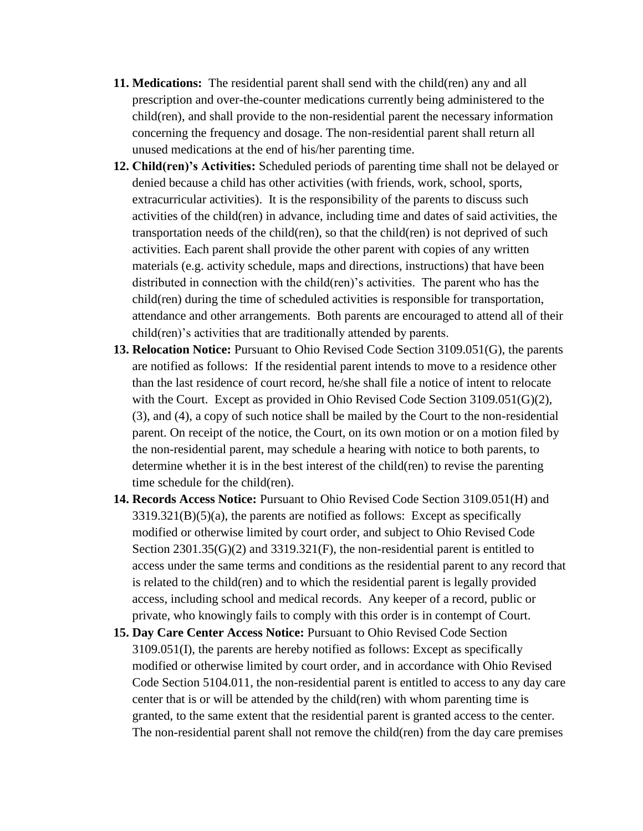- **11. Medications:** The residential parent shall send with the child(ren) any and all prescription and over-the-counter medications currently being administered to the child(ren), and shall provide to the non-residential parent the necessary information concerning the frequency and dosage. The non-residential parent shall return all unused medications at the end of his/her parenting time.
- **12. Child(ren)'s Activities:** Scheduled periods of parenting time shall not be delayed or denied because a child has other activities (with friends, work, school, sports, extracurricular activities). It is the responsibility of the parents to discuss such activities of the child(ren) in advance, including time and dates of said activities, the transportation needs of the child(ren), so that the child(ren) is not deprived of such activities. Each parent shall provide the other parent with copies of any written materials (e.g. activity schedule, maps and directions, instructions) that have been distributed in connection with the child(ren)'s activities. The parent who has the child(ren) during the time of scheduled activities is responsible for transportation, attendance and other arrangements. Both parents are encouraged to attend all of their child(ren)'s activities that are traditionally attended by parents.
- **13. Relocation Notice:** Pursuant to Ohio Revised Code Section 3109.051(G), the parents are notified as follows: If the residential parent intends to move to a residence other than the last residence of court record, he/she shall file a notice of intent to relocate with the Court. Except as provided in Ohio Revised Code Section 3109.051(G)(2), (3), and (4), a copy of such notice shall be mailed by the Court to the non-residential parent. On receipt of the notice, the Court, on its own motion or on a motion filed by the non-residential parent, may schedule a hearing with notice to both parents, to determine whether it is in the best interest of the child(ren) to revise the parenting time schedule for the child(ren).
- **14. Records Access Notice:** Pursuant to Ohio Revised Code Section 3109.051(H) and  $3319.321(B)(5)(a)$ , the parents are notified as follows: Except as specifically modified or otherwise limited by court order, and subject to Ohio Revised Code Section  $2301.35(G)(2)$  and  $3319.321(F)$ , the non-residential parent is entitled to access under the same terms and conditions as the residential parent to any record that is related to the child(ren) and to which the residential parent is legally provided access, including school and medical records. Any keeper of a record, public or private, who knowingly fails to comply with this order is in contempt of Court.
- **15. Day Care Center Access Notice:** Pursuant to Ohio Revised Code Section 3109.051(I), the parents are hereby notified as follows: Except as specifically modified or otherwise limited by court order, and in accordance with Ohio Revised Code Section 5104.011, the non-residential parent is entitled to access to any day care center that is or will be attended by the child(ren) with whom parenting time is granted, to the same extent that the residential parent is granted access to the center. The non-residential parent shall not remove the child(ren) from the day care premises